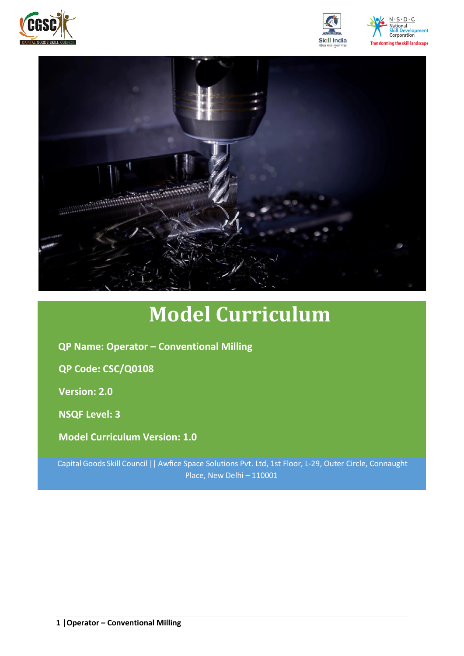







# **Model Curriculum**

**QP Name: Operator – Conventional Milling**

**QP Code: CSC/Q0108**

**Version: 2.0**

**NSQF Level: 3**

**Model Curriculum Version: 1.0**

Capital Goods Skill Council || Awfice Space Solutions Pvt. Ltd, 1st Floor, L-29, Outer Circle, Connaught Place, New Delhi – 110001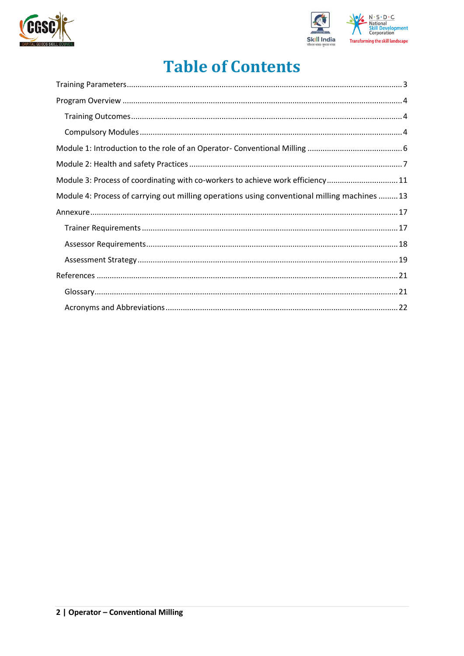



## **Table of Contents**

| Module 3: Process of coordinating with co-workers to achieve work efficiency11              |
|---------------------------------------------------------------------------------------------|
| Module 4: Process of carrying out milling operations using conventional milling machines 13 |
|                                                                                             |
|                                                                                             |
|                                                                                             |
|                                                                                             |
|                                                                                             |
|                                                                                             |
|                                                                                             |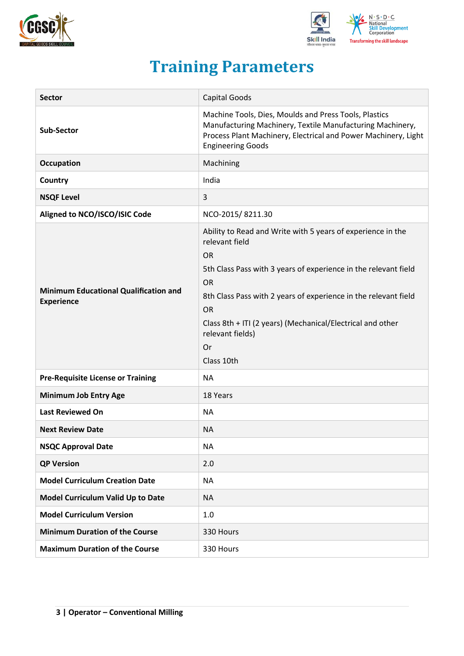



## **Training Parameters**

<span id="page-2-0"></span>

| <b>Sector</b>                                                     | Capital Goods                                                                                                                                                                                                                                                                                                                                                    |
|-------------------------------------------------------------------|------------------------------------------------------------------------------------------------------------------------------------------------------------------------------------------------------------------------------------------------------------------------------------------------------------------------------------------------------------------|
| <b>Sub-Sector</b>                                                 | Machine Tools, Dies, Moulds and Press Tools, Plastics<br>Manufacturing Machinery, Textile Manufacturing Machinery,<br>Process Plant Machinery, Electrical and Power Machinery, Light<br><b>Engineering Goods</b>                                                                                                                                                 |
| Occupation                                                        | Machining                                                                                                                                                                                                                                                                                                                                                        |
| Country                                                           | India                                                                                                                                                                                                                                                                                                                                                            |
| <b>NSQF Level</b>                                                 | 3                                                                                                                                                                                                                                                                                                                                                                |
| Aligned to NCO/ISCO/ISIC Code                                     | NCO-2015/8211.30                                                                                                                                                                                                                                                                                                                                                 |
| <b>Minimum Educational Qualification and</b><br><b>Experience</b> | Ability to Read and Write with 5 years of experience in the<br>relevant field<br><b>OR</b><br>5th Class Pass with 3 years of experience in the relevant field<br><b>OR</b><br>8th Class Pass with 2 years of experience in the relevant field<br><b>OR</b><br>Class 8th + ITI (2 years) (Mechanical/Electrical and other<br>relevant fields)<br>Or<br>Class 10th |
| <b>Pre-Requisite License or Training</b>                          | <b>NA</b>                                                                                                                                                                                                                                                                                                                                                        |
| <b>Minimum Job Entry Age</b>                                      | 18 Years                                                                                                                                                                                                                                                                                                                                                         |
| <b>Last Reviewed On</b>                                           | <b>NA</b>                                                                                                                                                                                                                                                                                                                                                        |
| <b>Next Review Date</b>                                           | <b>NA</b>                                                                                                                                                                                                                                                                                                                                                        |
| <b>NSQC Approval Date</b>                                         | <b>NA</b>                                                                                                                                                                                                                                                                                                                                                        |
| <b>QP Version</b>                                                 | 2.0                                                                                                                                                                                                                                                                                                                                                              |
| <b>Model Curriculum Creation Date</b>                             | <b>NA</b>                                                                                                                                                                                                                                                                                                                                                        |
| Model Curriculum Valid Up to Date                                 | <b>NA</b>                                                                                                                                                                                                                                                                                                                                                        |
| <b>Model Curriculum Version</b>                                   | 1.0                                                                                                                                                                                                                                                                                                                                                              |
| <b>Minimum Duration of the Course</b>                             | 330 Hours                                                                                                                                                                                                                                                                                                                                                        |
| <b>Maximum Duration of the Course</b>                             | 330 Hours                                                                                                                                                                                                                                                                                                                                                        |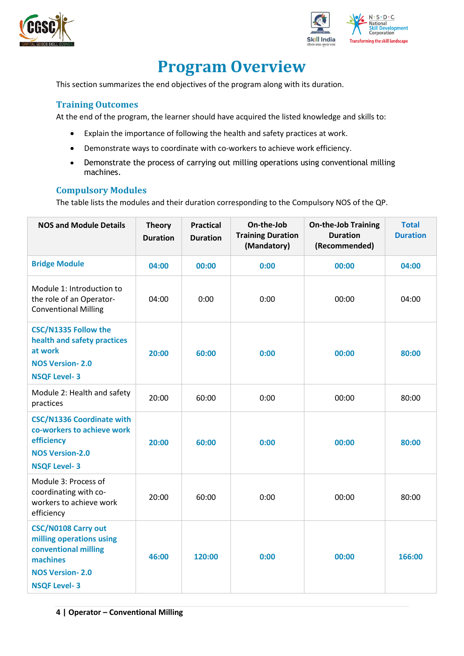



## **Program Overview**

<span id="page-3-0"></span>This section summarizes the end objectives of the program along with its duration.

#### <span id="page-3-1"></span>**Training Outcomes**

At the end of the program, the learner should have acquired the listed knowledge and skills to:

- Explain the importance of following the health and safety practices at work.
- Demonstrate ways to coordinate with co-workers to achieve work efficiency.
- Demonstrate the process of carrying out milling operations using conventional milling machines.

#### <span id="page-3-2"></span>**Compulsory Modules**

The table lists the modules and their duration corresponding to the Compulsory NOS of the QP.

| <b>NOS and Module Details</b>                                                                                                               | <b>Theory</b><br><b>Duration</b> | <b>Practical</b><br><b>Duration</b> | On-the-Job<br><b>Training Duration</b><br>(Mandatory) | <b>On-the-Job Training</b><br><b>Duration</b><br>(Recommended) | <b>Total</b><br><b>Duration</b> |
|---------------------------------------------------------------------------------------------------------------------------------------------|----------------------------------|-------------------------------------|-------------------------------------------------------|----------------------------------------------------------------|---------------------------------|
| <b>Bridge Module</b>                                                                                                                        | 04:00                            | 00:00                               | 0:00                                                  | 00:00                                                          | 04:00                           |
| Module 1: Introduction to<br>the role of an Operator-<br><b>Conventional Milling</b>                                                        | 04:00                            | 0:00                                | 0:00                                                  | 00:00                                                          | 04:00                           |
| <b>CSC/N1335 Follow the</b><br>health and safety practices<br>at work<br><b>NOS Version-2.0</b><br><b>NSQF Level-3</b>                      | 20:00                            | 60:00                               | 0:00                                                  | 00:00                                                          | 80:00                           |
| Module 2: Health and safety<br>practices                                                                                                    | 20:00                            | 60:00                               | 0:00                                                  | 00:00                                                          | 80:00                           |
| <b>CSC/N1336 Coordinate with</b><br>co-workers to achieve work<br>efficiency<br><b>NOS Version-2.0</b><br><b>NSQF Level-3</b>               | 20:00                            | 60:00                               | 0:00                                                  | 00:00                                                          | 80:00                           |
| Module 3: Process of<br>coordinating with co-<br>workers to achieve work<br>efficiency                                                      | 20:00                            | 60:00                               | 0:00                                                  | 00:00                                                          | 80:00                           |
| <b>CSC/N0108 Carry out</b><br>milling operations using<br>conventional milling<br>machines<br><b>NOS Version-2.0</b><br><b>NSQF Level-3</b> | 46:00                            | 120:00                              | 0:00                                                  | 00:00                                                          | 166:00                          |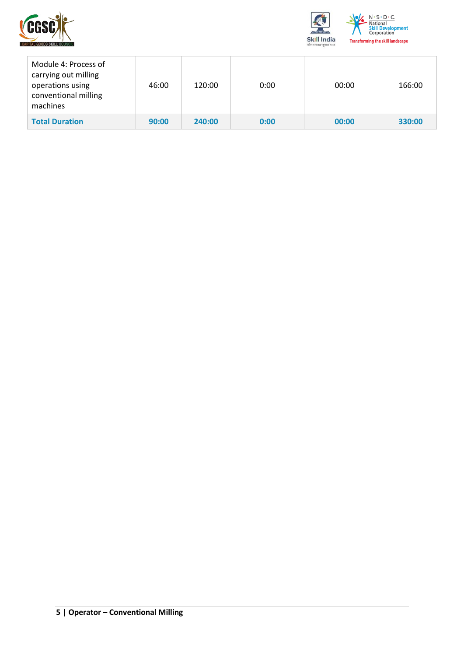



| Module 4: Process of<br>carrying out milling<br>operations using<br>conventional milling<br>machines | 46:00 | 120:00 | 0:00 | 00:00 | 166:00 |
|------------------------------------------------------------------------------------------------------|-------|--------|------|-------|--------|
| <b>Total Duration</b>                                                                                | 90:00 | 240:00 | 0:00 | 00:00 | 330:00 |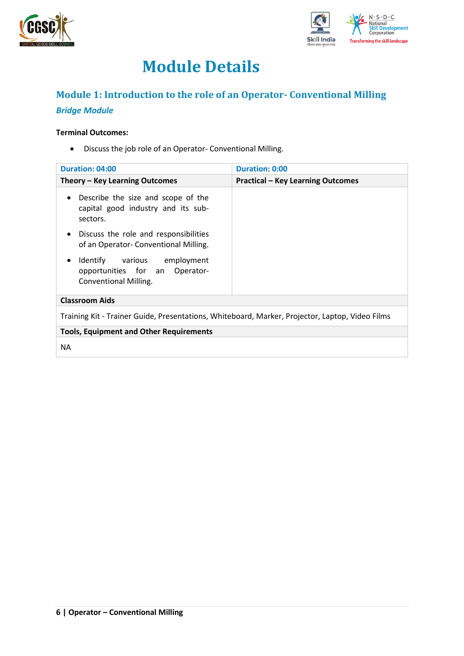



## **Module Details**

## <span id="page-5-0"></span>**Module 1: Introduction to the role of an Operator- Conventional Milling**

### *Bridge Module*

#### **Terminal Outcomes:**

• Discuss the job role of an Operator- Conventional Milling.

| Duration: 04:00                                                                                            | <b>Duration: 0:00</b>                    |
|------------------------------------------------------------------------------------------------------------|------------------------------------------|
| Theory – Key Learning Outcomes                                                                             | <b>Practical - Key Learning Outcomes</b> |
| Describe the size and scope of the<br>$\bullet$<br>capital good industry and its sub-<br>sectors.          |                                          |
| Discuss the role and responsibilities<br>$\bullet$<br>of an Operator-Conventional Milling.                 |                                          |
| Identify various employment<br>$\bullet$<br>opportunities for an Operator-<br><b>Conventional Milling.</b> |                                          |
| <b>Classroom Aids</b>                                                                                      |                                          |
| Training Kit - Trainer Guide, Presentations, Whiteboard, Marker, Projector, Laptop, Video Films            |                                          |
| <b>Tools, Equipment and Other Requirements</b>                                                             |                                          |
| <b>NA</b>                                                                                                  |                                          |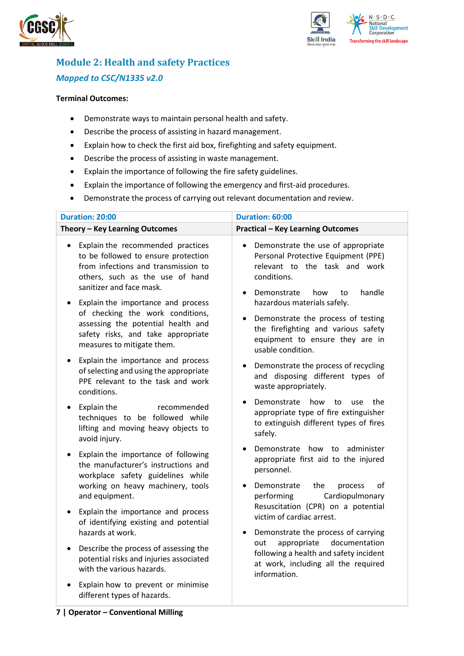



### <span id="page-6-0"></span>**Module 2: Health and safety Practices** *Mapped to CSC/N1335 v2.0*

#### **Terminal Outcomes:**

- Demonstrate ways to maintain personal health and safety.
- Describe the process of assisting in hazard management.
- Explain how to check the first aid box, firefighting and safety equipment.
- Describe the process of assisting in waste management.
- Explain the importance of following the fire safety guidelines.
- Explain the importance of following the emergency and first-aid procedures.
- Demonstrate the process of carrying out relevant documentation and review.

| <b>Duration: 20:00</b>                                                                                                                                                                                                            | Duration: 60:00                                                                                                                                                                                             |
|-----------------------------------------------------------------------------------------------------------------------------------------------------------------------------------------------------------------------------------|-------------------------------------------------------------------------------------------------------------------------------------------------------------------------------------------------------------|
| Theory - Key Learning Outcomes                                                                                                                                                                                                    | <b>Practical - Key Learning Outcomes</b>                                                                                                                                                                    |
| Explain the recommended practices<br>$\bullet$<br>to be followed to ensure protection<br>from infections and transmission to<br>others, such as the use of hand<br>sanitizer and face mask.<br>Explain the importance and process | Demonstrate the use of appropriate<br>$\bullet$<br>Personal Protective Equipment (PPE)<br>relevant to the task and work<br>conditions.<br>Demonstrate<br>handle<br>how<br>to<br>hazardous materials safely. |
| of checking the work conditions,<br>assessing the potential health and<br>safety risks, and take appropriate<br>measures to mitigate them.                                                                                        | Demonstrate the process of testing<br>$\bullet$<br>the firefighting and various safety<br>equipment to ensure they are in<br>usable condition.                                                              |
| Explain the importance and process<br>$\bullet$<br>of selecting and using the appropriate<br>PPE relevant to the task and work<br>conditions.                                                                                     | Demonstrate the process of recycling<br>٠<br>and disposing different types of<br>waste appropriately.                                                                                                       |
| Explain the<br>recommended<br>$\bullet$<br>techniques to be followed while<br>lifting and moving heavy objects to<br>avoid injury.                                                                                                | Demonstrate<br>how<br>the<br>to<br>use<br>appropriate type of fire extinguisher<br>to extinguish different types of fires<br>safely.                                                                        |
| Explain the importance of following<br>$\bullet$<br>the manufacturer's instructions and<br>workplace safety guidelines while                                                                                                      | Demonstrate how to administer<br>appropriate first aid to the injured<br>personnel.                                                                                                                         |
| working on heavy machinery, tools<br>and equipment.                                                                                                                                                                               | Demonstrate<br>the<br>οf<br>process<br>$\bullet$<br>Cardiopulmonary<br>performing<br>Resuscitation (CPR) on a potential                                                                                     |
| Explain the importance and process<br>٠<br>of identifying existing and potential                                                                                                                                                  | victim of cardiac arrest.                                                                                                                                                                                   |
| hazards at work.<br>Describe the process of assessing the<br>$\bullet$                                                                                                                                                            | Demonstrate the process of carrying<br>٠<br>documentation<br>appropriate<br>out                                                                                                                             |
| potential risks and injuries associated<br>with the various hazards.                                                                                                                                                              | following a health and safety incident<br>at work, including all the required<br>information.                                                                                                               |
| Explain how to prevent or minimise<br>different types of hazards.                                                                                                                                                                 |                                                                                                                                                                                                             |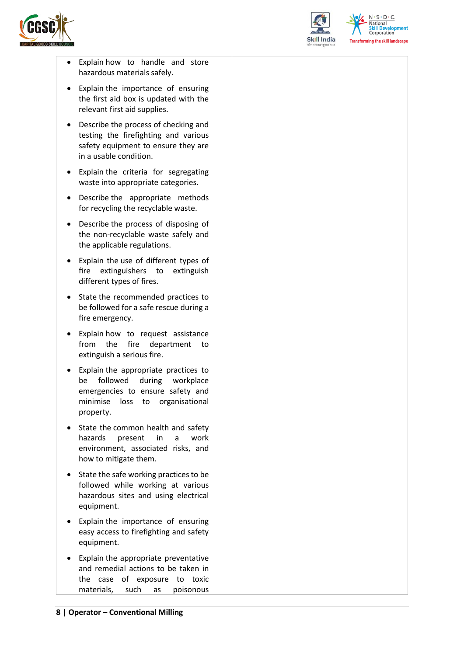



 $N.5.0.6$ **Skill Development**<br>Corporation **Transforming the skill landscape** 

- Explain how to handle and store hazardous materials safely.
- Explain the importance of ensuring the first aid box is updated with the relevant first aid supplies.
- Describe the process of checking and testing the firefighting and various safety equipment to ensure they are in a usable condition.
- Explain the criteria for segregating waste into appropriate categories.
- Describe the appropriate methods for recycling the recyclable waste.
- Describe the process of disposing of the non-recyclable waste safely and the applicable regulations.
- Explain the use of different types of fire extinguishers to extinguish different types of fires.
- State the recommended practices to be followed for a safe rescue during a fire emergency.
- Explain how to request assistance from the fire department to extinguish a serious fire.
- Explain the appropriate practices to be followed during workplace emergencies to ensure safety and minimise loss to organisational property.
- State the common health and safety hazards present in a work environment, associated risks, and how to mitigate them.
- State the safe working practices to be followed while working at various hazardous sites and using electrical equipment.
- Explain the importance of ensuring easy access to firefighting and safety equipment.
- Explain the appropriate preventative and remedial actions to be taken in the case of exposure to toxic materials, such as poisonous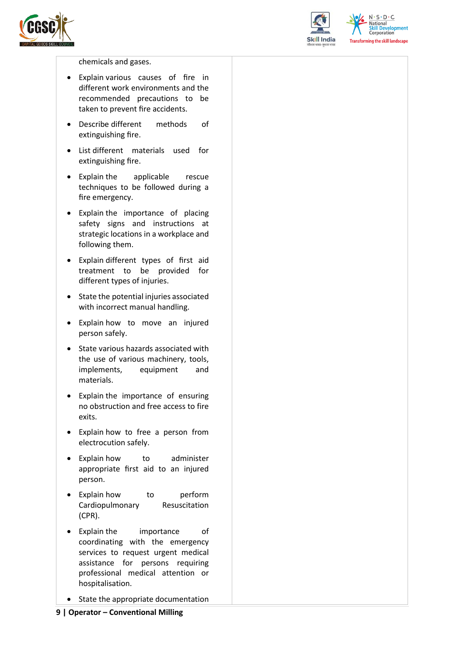



 $N.5.0.6$ **Skill Development**<br>Corporation **Transforming the skill landscape** 

chemicals and gases.

- Explain various causes of fire in different work environments and the recommended precautions to be taken to prevent fire accidents.
- Describe different methods of extinguishing fire.
- List different materials used for extinguishing fire.
- Explain the applicable rescue techniques to be followed during a fire emergency.
- Explain the importance of placing safety signs and instructions at strategic locations in a workplace and following them.
- Explain different types of first aid treatment to be provided for different types of injuries.
- State the potential injuries associated with incorrect manual handling.
- Explain how to move an injured person safely.
- State various hazards associated with the use of various machinery, tools, implements, equipment and materials.
- Explain the importance of ensuring no obstruction and free access to fire exits.
- Explain how to free a person from electrocution safely.
- Explain how to administer appropriate first aid to an injured person.
- Explain how to perform Cardiopulmonary Resuscitation (CPR).
- Explain the importance of coordinating with the emergency services to request urgent medical assistance for persons requiring professional medical attention or hospitalisation.
- State the appropriate documentation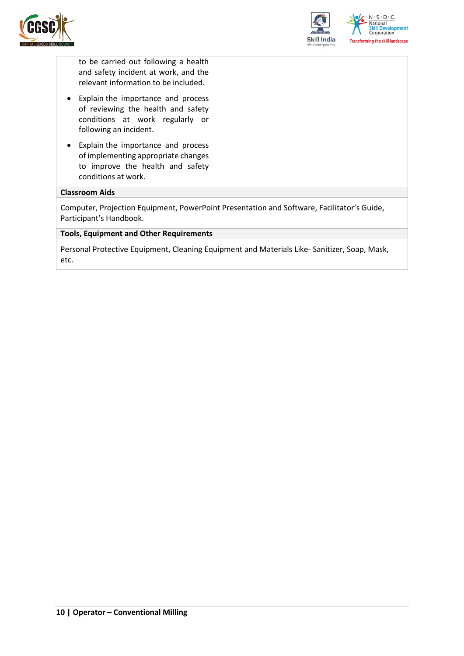



to be carried out following a health and safety incident at work, and the relevant information to be included.

- Explain the importance and process of reviewing the health and safety conditions at work regularly or following an incident.
- Explain the importance and process of implementing appropriate changes to improve the health and safety conditions at work.

#### **Classroom Aids**

Computer, Projection Equipment, PowerPoint Presentation and Software, Facilitator's Guide, Participant's Handbook.

#### **Tools, Equipment and Other Requirements**

Personal Protective Equipment, Cleaning Equipment and Materials Like- Sanitizer, Soap, Mask, etc.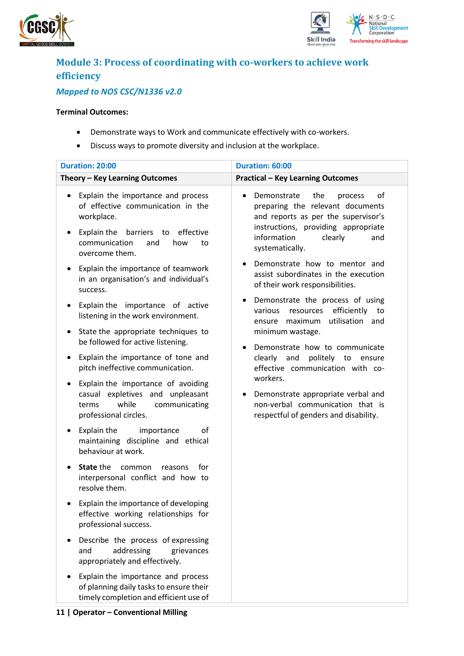



## <span id="page-10-0"></span>**Module 3: Process of coordinating with co-workers to achieve work efficiency**

### *Mapped to NOS CSC/N1336 v2.0*

#### **Terminal Outcomes:**

- Demonstrate ways to Work and communicate effectively with co-workers.
- Discuss ways to promote diversity and inclusion at the workplace.

| <b>Duration: 20:00</b>                                                                                                                                                                               | Duration: 60:00                                                                                                                                                                                                                            |
|------------------------------------------------------------------------------------------------------------------------------------------------------------------------------------------------------|--------------------------------------------------------------------------------------------------------------------------------------------------------------------------------------------------------------------------------------------|
| Theory - Key Learning Outcomes                                                                                                                                                                       | <b>Practical - Key Learning Outcomes</b>                                                                                                                                                                                                   |
| Explain the importance and process<br>of effective communication in the<br>workplace.<br>Explain the<br>barriers to<br>effective<br>$\bullet$<br>communication<br>how<br>and<br>to<br>overcome them. | Demonstrate<br>the<br>of<br>process<br>preparing the relevant documents<br>and reports as per the supervisor's<br>instructions, providing appropriate<br>information<br>clearly<br>and<br>systematically.<br>Demonstrate how to mentor and |
| Explain the importance of teamwork<br>$\bullet$<br>in an organisation's and individual's<br>success.                                                                                                 | assist subordinates in the execution<br>of their work responsibilities.                                                                                                                                                                    |
| Explain the importance of active<br>$\bullet$<br>listening in the work environment.                                                                                                                  | Demonstrate the process of using<br>resources efficiently<br>various<br>to<br>utilisation and<br>maximum<br>ensure                                                                                                                         |
| State the appropriate techniques to<br>٠<br>be followed for active listening.                                                                                                                        | minimum wastage.<br>Demonstrate how to communicate<br>$\bullet$                                                                                                                                                                            |
| Explain the importance of tone and<br>٠<br>pitch ineffective communication.                                                                                                                          | clearly and<br>politely to ensure<br>effective communication with co-                                                                                                                                                                      |
| Explain the importance of avoiding<br>casual expletives and unpleasant<br>while<br>communicating<br>terms<br>professional circles.                                                                   | workers.<br>Demonstrate appropriate verbal and<br>non-verbal communication that is<br>respectful of genders and disability.                                                                                                                |
| Explain the<br>of<br>importance<br>maintaining discipline and ethical<br>behaviour at work.                                                                                                          |                                                                                                                                                                                                                                            |
| State the<br>common<br>for<br>reasons<br>interpersonal conflict and how to<br>resolve them.                                                                                                          |                                                                                                                                                                                                                                            |
| Explain the importance of developing<br>effective working relationships for<br>professional success.                                                                                                 |                                                                                                                                                                                                                                            |
| Describe the process of expressing<br>addressing<br>and<br>grievances<br>appropriately and effectively.                                                                                              |                                                                                                                                                                                                                                            |
| Explain the importance and process<br>of planning daily tasks to ensure their<br>timely completion and efficient use of                                                                              |                                                                                                                                                                                                                                            |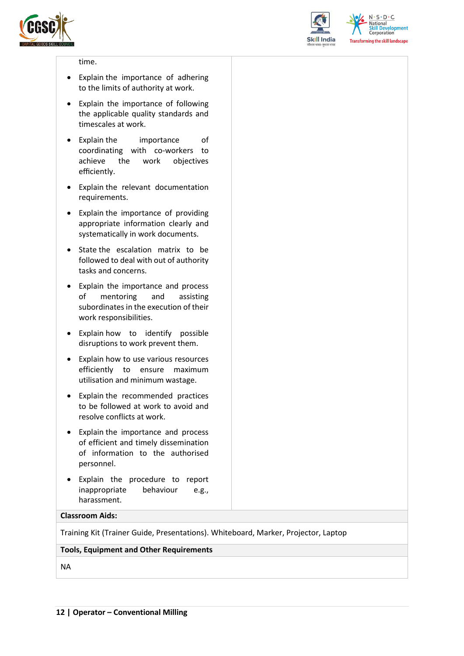



 $N.5.0.6$ **National Skill Development**<br>Corporation **Transforming the skill landscape** 

#### time.

- Explain the importance of adhering to the limits of authority at work.
- Explain the importance of following the applicable quality standards and timescales at work.
- Explain the importance of coordinating with co-workers to achieve the work objectives efficiently.
- Explain the relevant documentation requirements.
- Explain the importance of providing appropriate information clearly and systematically in work documents.
- State the escalation matrix to be followed to deal with out of authority tasks and concerns.
- Explain the importance and process of mentoring and assisting subordinates in the execution of their work responsibilities.
- Explain how to identify possible disruptions to work prevent them.
- Explain how to use various resources efficiently to ensure maximum utilisation and minimum wastage.
- Explain the recommended practices to be followed at work to avoid and resolve conflicts at work.
- Explain the importance and process of efficient and timely dissemination of information to the authorised personnel.
- Explain the procedure to report inappropriate behaviour e.g., harassment.

#### **Classroom Aids:**

Training Kit (Trainer Guide, Presentations). Whiteboard, Marker, Projector, Laptop

#### **Tools, Equipment and Other Requirements**

NA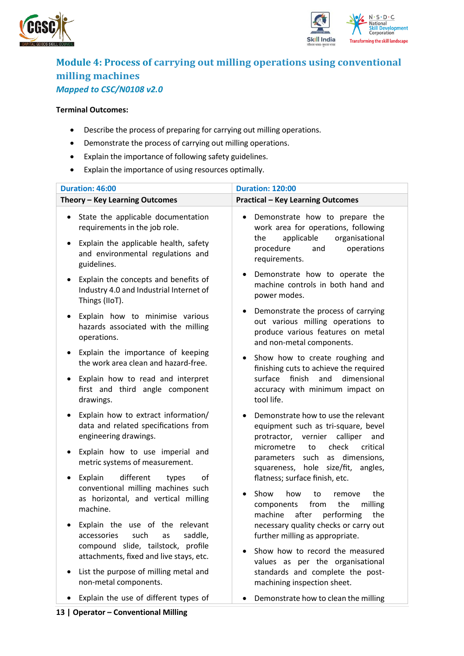



### <span id="page-12-0"></span>**Module 4: Process of carrying out milling operations using conventional milling machines** *Mapped to CSC/N0108 v2.0*

#### **Terminal Outcomes:**

- Describe the process of preparing for carrying out milling operations.
- Demonstrate the process of carrying out milling operations.
- Explain the importance of following safety guidelines.
- Explain the importance of using resources optimally.

| Duration: 46:00                                                                                                                                                                            | <b>Duration: 120:00</b>                                                                                                                                                      |
|--------------------------------------------------------------------------------------------------------------------------------------------------------------------------------------------|------------------------------------------------------------------------------------------------------------------------------------------------------------------------------|
| Theory - Key Learning Outcomes                                                                                                                                                             | <b>Practical - Key Learning Outcomes</b>                                                                                                                                     |
| State the applicable documentation<br>$\bullet$<br>requirements in the job role.<br>Explain the applicable health, safety<br>$\bullet$<br>and environmental regulations and<br>guidelines. | Demonstrate how to prepare the<br>$\bullet$<br>work area for operations, following<br>applicable<br>the<br>organisational<br>procedure<br>operations<br>and<br>requirements. |
| Explain the concepts and benefits of<br>$\bullet$<br>Industry 4.0 and Industrial Internet of<br>Things (IIoT).                                                                             | Demonstrate how to operate the<br>٠<br>machine controls in both hand and<br>power modes.                                                                                     |
| Explain how to minimise various<br>$\bullet$<br>hazards associated with the milling<br>operations.                                                                                         | Demonstrate the process of carrying<br>$\bullet$<br>out various milling operations to<br>produce various features on metal<br>and non-metal components.                      |
| Explain the importance of keeping<br>٠<br>the work area clean and hazard-free.                                                                                                             | Show how to create roughing and<br>$\bullet$<br>finishing cuts to achieve the required                                                                                       |
| Explain how to read and interpret<br>٠<br>first and third angle component<br>drawings.                                                                                                     | surface<br>finish<br>dimensional<br>and<br>accuracy with minimum impact on<br>tool life.                                                                                     |
| Explain how to extract information/<br>٠<br>data and related specifications from<br>engineering drawings.                                                                                  | Demonstrate how to use the relevant<br>$\bullet$<br>equipment such as tri-square, bevel<br>protractor, vernier<br>calliper<br>and                                            |
| Explain how to use imperial and<br>٠<br>metric systems of measurement.                                                                                                                     | check<br>micrometre<br>to<br>critical<br>as dimensions,<br>parameters such<br>squareness, hole size/fit,<br>angles,                                                          |
| different<br>Explain<br>types<br>of<br>$\bullet$<br>conventional milling machines such<br>as horizontal, and vertical milling<br>machine.                                                  | flatness; surface finish, etc.<br>Show<br>how<br>to<br>the<br>remove<br>$\bullet$<br>milling<br>from<br>the<br>components<br>machine<br>after<br>performing<br>the           |
| Explain the use of the relevant<br>٠<br>accessories<br>such<br>saddle,<br>as<br>compound slide, tailstock, profile<br>attachments, fixed and live stays, etc.                              | necessary quality checks or carry out<br>further milling as appropriate.<br>Show how to record the measured                                                                  |
| List the purpose of milling metal and<br>$\bullet$<br>non-metal components.                                                                                                                | values as per the organisational<br>standards and complete the post-<br>machining inspection sheet.                                                                          |
| Explain the use of different types of                                                                                                                                                      | Demonstrate how to clean the milling                                                                                                                                         |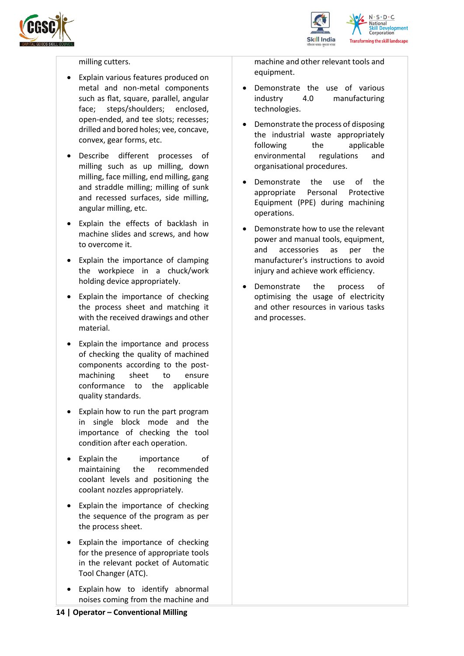



#### milling cutters.

- Explain various features produced on metal and non-metal components such as flat, square, parallel, angular face; steps/shoulders; enclosed, open-ended, and tee slots; recesses; drilled and bored holes; vee, concave, convex, gear forms, etc.
- Describe different processes of milling such as up milling, down milling, face milling, end milling, gang and straddle milling; milling of sunk and recessed surfaces, side milling, angular milling, etc.
- Explain the effects of backlash in machine slides and screws, and how to overcome it.
- Explain the importance of clamping the workpiece in a chuck/work holding device appropriately.
- Explain the importance of checking the process sheet and matching it with the received drawings and other material.
- Explain the importance and process of checking the quality of machined components according to the postmachining sheet to ensure conformance to the applicable quality standards.
- Explain how to run the part program in single block mode and the importance of checking the tool condition after each operation.
- Explain the importance of maintaining the recommended coolant levels and positioning the coolant nozzles appropriately.
- Explain the importance of checking the sequence of the program as per the process sheet.
- Explain the importance of checking for the presence of appropriate tools in the relevant pocket of Automatic Tool Changer (ATC).
- Explain how to identify abnormal noises coming from the machine and

machine and other relevant tools and equipment.

- Demonstrate the use of various industry 4.0 manufacturing technologies.
- Demonstrate the process of disposing the industrial waste appropriately following the applicable environmental regulations and organisational procedures.
- Demonstrate the use of the appropriate Personal Protective Equipment (PPE) during machining operations.
- Demonstrate how to use the relevant power and manual tools, equipment, and accessories as per the manufacturer's instructions to avoid injury and achieve work efficiency.
- Demonstrate the process of optimising the usage of electricity and other resources in various tasks and processes.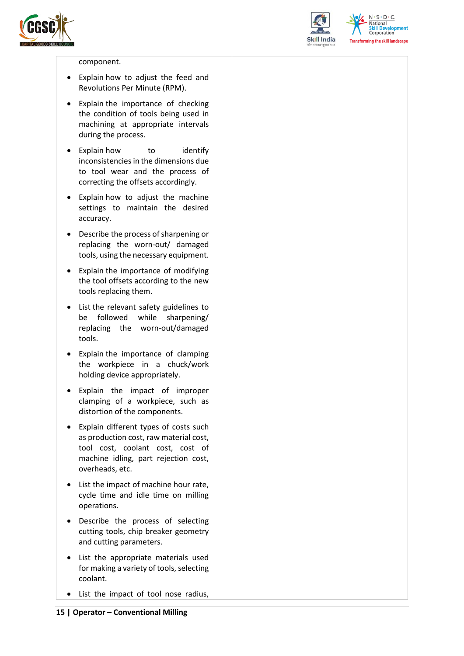



 $N.5.0.6$ National **Skill Development**<br>Corporation **Transforming the skill landscape** 

#### component.

- Explain how to adjust the feed and Revolutions Per Minute (RPM).
- Explain the importance of checking the condition of tools being used in machining at appropriate intervals during the process.
- Explain how to identify inconsistencies in the dimensions due to tool wear and the process of correcting the offsets accordingly.
- Explain how to adjust the machine settings to maintain the desired accuracy.
- Describe the process of sharpening or replacing the worn-out/ damaged tools, using the necessary equipment.
- Explain the importance of modifying the tool offsets according to the new tools replacing them.
- List the relevant safety guidelines to be followed while sharpening/ replacing the worn-out/damaged tools.
- Explain the importance of clamping the workpiece in a chuck/work holding device appropriately.
- Explain the impact of improper clamping of a workpiece, such as distortion of the components.
- Explain different types of costs such as production cost, raw material cost, tool cost, coolant cost, cost of machine idling, part rejection cost, overheads, etc.
- List the impact of machine hour rate, cycle time and idle time on milling operations.
- Describe the process of selecting cutting tools, chip breaker geometry and cutting parameters.
- List the appropriate materials used for making a variety of tools, selecting coolant.
- List the impact of tool nose radius,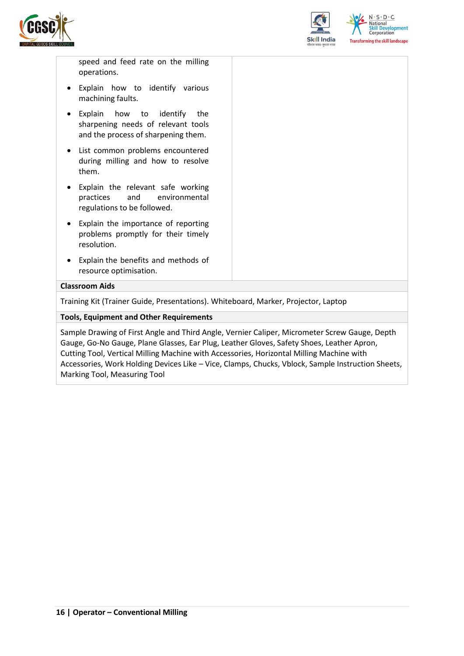



speed and feed rate on the milling operations.

- Explain how to identify various machining faults.
- Explain how to identify the sharpening needs of relevant tools and the process of sharpening them.
- List common problems encountered during milling and how to resolve them.
- Explain the relevant safe working practices and environmental regulations to be followed.
- Explain the importance of reporting problems promptly for their timely resolution.
- Explain the benefits and methods of resource optimisation.

#### **Classroom Aids**

Training Kit (Trainer Guide, Presentations). Whiteboard, Marker, Projector, Laptop

#### **Tools, Equipment and Other Requirements**

Sample Drawing of First Angle and Third Angle, Vernier Caliper, Micrometer Screw Gauge, Depth Gauge, Go-No Gauge, Plane Glasses, Ear Plug, Leather Gloves, Safety Shoes, Leather Apron, Cutting Tool, Vertical Milling Machine with Accessories, Horizontal Milling Machine with Accessories, Work Holding Devices Like – Vice, Clamps, Chucks, Vblock, Sample Instruction Sheets, Marking Tool, Measuring Tool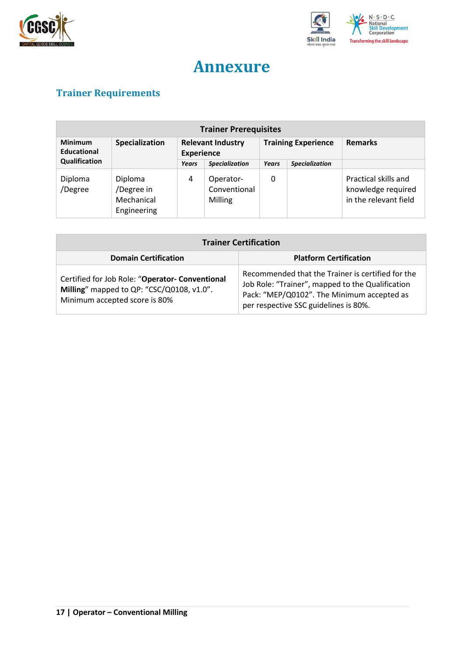



## **Annexure**

## <span id="page-16-1"></span><span id="page-16-0"></span>**Trainer Requirements**

| <b>Trainer Prerequisites</b>         |                                                    |                                               |                                      |                            |                       |                                                                     |
|--------------------------------------|----------------------------------------------------|-----------------------------------------------|--------------------------------------|----------------------------|-----------------------|---------------------------------------------------------------------|
| <b>Minimum</b><br><b>Educational</b> | Specialization                                     | <b>Relevant Industry</b><br><b>Experience</b> |                                      | <b>Training Experience</b> |                       | <b>Remarks</b>                                                      |
| Qualification                        |                                                    | Years                                         | <b>Specialization</b>                | Years                      | <b>Specialization</b> |                                                                     |
| Diploma<br>/Degree                   | Diploma<br>/Degree in<br>Mechanical<br>Engineering | 4                                             | Operator-<br>Conventional<br>Milling | 0                          |                       | Practical skills and<br>knowledge required<br>in the relevant field |

| <b>Trainer Certification</b>                                                                                                  |                                                                                                                                                                                              |  |  |  |
|-------------------------------------------------------------------------------------------------------------------------------|----------------------------------------------------------------------------------------------------------------------------------------------------------------------------------------------|--|--|--|
| <b>Domain Certification</b>                                                                                                   | <b>Platform Certification</b>                                                                                                                                                                |  |  |  |
| Certified for Job Role: "Operator- Conventional<br>Milling" mapped to QP: "CSC/Q0108, v1.0".<br>Minimum accepted score is 80% | Recommended that the Trainer is certified for the<br>Job Role: "Trainer", mapped to the Qualification<br>Pack: "MEP/Q0102". The Minimum accepted as<br>per respective SSC guidelines is 80%. |  |  |  |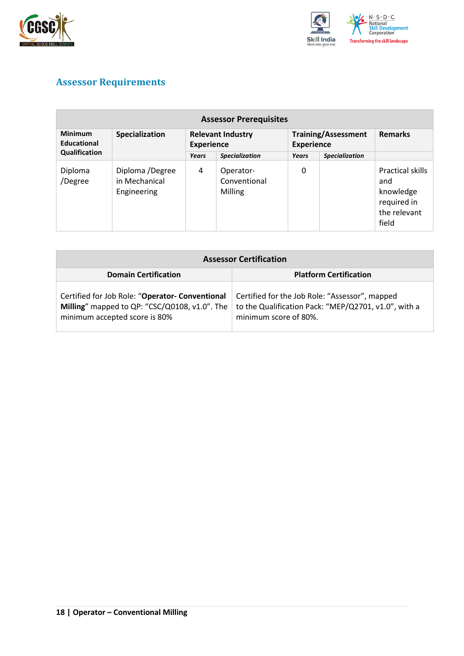



## <span id="page-17-0"></span>**Assessor Requirements**

| <b>Assessor Prerequisites</b>        |                                                 |                                               |                                      |                                                 |                       |                                                                              |
|--------------------------------------|-------------------------------------------------|-----------------------------------------------|--------------------------------------|-------------------------------------------------|-----------------------|------------------------------------------------------------------------------|
| <b>Minimum</b><br><b>Educational</b> | Specialization                                  | <b>Relevant Industry</b><br><b>Experience</b> |                                      | <b>Training/Assessment</b><br><b>Experience</b> |                       | <b>Remarks</b>                                                               |
| Qualification                        |                                                 | Years                                         | <b>Specialization</b>                | Years                                           | <b>Specialization</b> |                                                                              |
| Diploma<br>/Degree                   | Diploma /Degree<br>in Mechanical<br>Engineering | 4                                             | Operator-<br>Conventional<br>Milling | 0                                               |                       | Practical skills<br>and<br>knowledge<br>required in<br>the relevant<br>field |

| <b>Assessor Certification</b>                                                                                                     |                                                                                                                                 |  |  |  |
|-----------------------------------------------------------------------------------------------------------------------------------|---------------------------------------------------------------------------------------------------------------------------------|--|--|--|
| <b>Domain Certification</b>                                                                                                       | <b>Platform Certification</b>                                                                                                   |  |  |  |
| Certified for Job Role: "Operator- Conventional<br>Milling" mapped to QP: "CSC/Q0108, v1.0". The<br>minimum accepted score is 80% | Certified for the Job Role: "Assessor", mapped<br>to the Qualification Pack: "MEP/Q2701, v1.0", with a<br>minimum score of 80%. |  |  |  |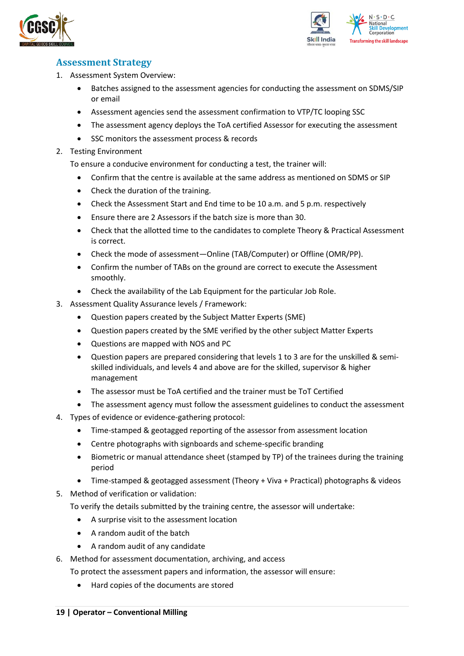



### <span id="page-18-0"></span>**Assessment Strategy**

- 1. Assessment System Overview:
	- Batches assigned to the assessment agencies for conducting the assessment on SDMS/SIP or email
	- Assessment agencies send the assessment confirmation to VTP/TC looping SSC
	- The assessment agency deploys the ToA certified Assessor for executing the assessment
	- SSC monitors the assessment process & records
- 2. Testing Environment

To ensure a conducive environment for conducting a test, the trainer will:

- Confirm that the centre is available at the same address as mentioned on SDMS or SIP
- Check the duration of the training.
- Check the Assessment Start and End time to be 10 a.m. and 5 p.m. respectively
- Ensure there are 2 Assessors if the batch size is more than 30.
- Check that the allotted time to the candidates to complete Theory & Practical Assessment is correct.
- Check the mode of assessment—Online (TAB/Computer) or Offline (OMR/PP).
- Confirm the number of TABs on the ground are correct to execute the Assessment smoothly.
- Check the availability of the Lab Equipment for the particular Job Role.
- 3. Assessment Quality Assurance levels / Framework:
	- Question papers created by the Subject Matter Experts (SME)
	- Question papers created by the SME verified by the other subject Matter Experts
	- Questions are mapped with NOS and PC
	- Question papers are prepared considering that levels 1 to 3 are for the unskilled & semiskilled individuals, and levels 4 and above are for the skilled, supervisor & higher management
	- The assessor must be ToA certified and the trainer must be ToT Certified
	- The assessment agency must follow the assessment guidelines to conduct the assessment
- 4. Types of evidence or evidence-gathering protocol:
	- Time-stamped & geotagged reporting of the assessor from assessment location
	- Centre photographs with signboards and scheme-specific branding
	- Biometric or manual attendance sheet (stamped by TP) of the trainees during the training period
	- Time-stamped & geotagged assessment (Theory + Viva + Practical) photographs & videos
- 5. Method of verification or validation:

To verify the details submitted by the training centre, the assessor will undertake:

- A surprise visit to the assessment location
- A random audit of the batch
- A random audit of any candidate
- 6. Method for assessment documentation, archiving, and access
	- To protect the assessment papers and information, the assessor will ensure:
		- Hard copies of the documents are stored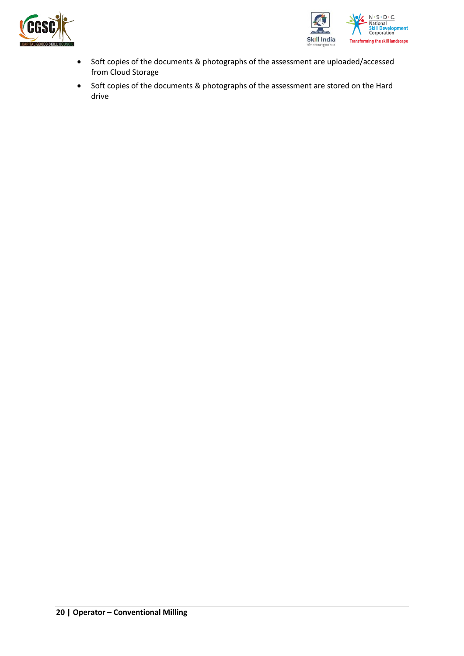



- Soft copies of the documents & photographs of the assessment are uploaded/accessed from Cloud Storage
- Soft copies of the documents & photographs of the assessment are stored on the Hard drive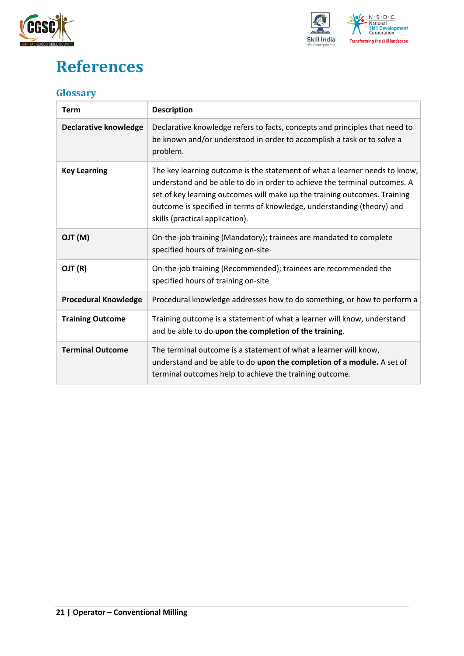



## <span id="page-20-0"></span>**References**

### <span id="page-20-1"></span>**Glossary**

| <b>Term</b>                  | <b>Description</b>                                                                                                                                                                                                                                                                                                                                |
|------------------------------|---------------------------------------------------------------------------------------------------------------------------------------------------------------------------------------------------------------------------------------------------------------------------------------------------------------------------------------------------|
| <b>Declarative knowledge</b> | Declarative knowledge refers to facts, concepts and principles that need to<br>be known and/or understood in order to accomplish a task or to solve a<br>problem.                                                                                                                                                                                 |
| <b>Key Learning</b>          | The key learning outcome is the statement of what a learner needs to know,<br>understand and be able to do in order to achieve the terminal outcomes. A<br>set of key learning outcomes will make up the training outcomes. Training<br>outcome is specified in terms of knowledge, understanding (theory) and<br>skills (practical application). |
| (M) TLO                      | On-the-job training (Mandatory); trainees are mandated to complete<br>specified hours of training on-site                                                                                                                                                                                                                                         |
| OJT (R)                      | On-the-job training (Recommended); trainees are recommended the<br>specified hours of training on-site                                                                                                                                                                                                                                            |
| <b>Procedural Knowledge</b>  | Procedural knowledge addresses how to do something, or how to perform a                                                                                                                                                                                                                                                                           |
| <b>Training Outcome</b>      | Training outcome is a statement of what a learner will know, understand<br>and be able to do upon the completion of the training.                                                                                                                                                                                                                 |
| <b>Terminal Outcome</b>      | The terminal outcome is a statement of what a learner will know,<br>understand and be able to do upon the completion of a module. A set of<br>terminal outcomes help to achieve the training outcome.                                                                                                                                             |